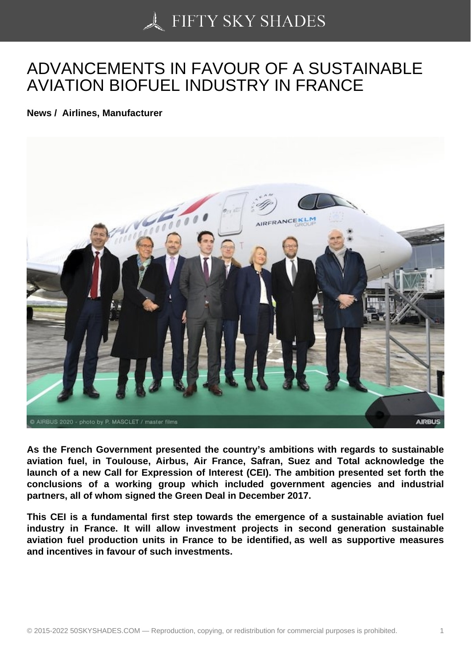## [ADVANCEMENTS IN F](https://50skyshades.com)AVOUR OF A SUSTAINABLE AVIATION BIOFUEL INDUSTRY IN FRANCE

News / Airlines, Manufacturer

As the French Government presented the country's ambitions with regards to sustainable aviation fuel, in Toulouse, Airbus, Air France, Safran, Suez and Total acknowledge the launch of a new Call for Expression of Interest (CEI). The ambition presented set forth the conclusions of a working group which included government agencies and industrial partners, all of whom signed the Green Deal in December 2017.

This CEI is a fundamental first step towards the emergence of a sustainable aviation fuel industry in France. It will allow investment projects in second generation sustainable aviation fuel production units in France to be identified, as well as supportive measures and incentives in favour of such investments.